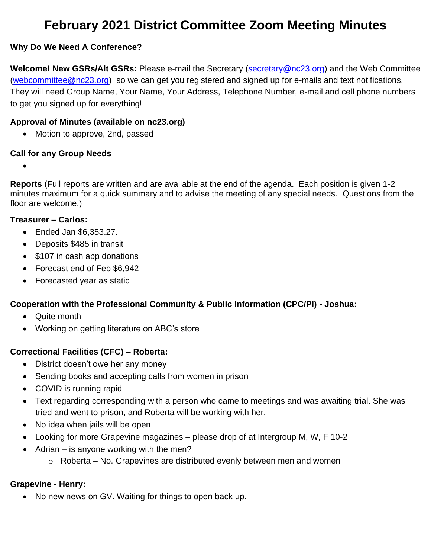# **February 2021 District Committee Zoom Meeting Minutes**

#### **Why Do We Need A Conference?**

**Welcome! New GSRs/Alt GSRs:** Please e-mail the Secretary [\(secretary@nc23.org\)](mailto:secretary@nc23.org) and the Web Committee [\(webcommittee@nc23.org\)](mailto:webcommittee@nc23.org) so we can get you registered and signed up for e-mails and text notifications. They will need Group Name, Your Name, Your Address, Telephone Number, e-mail and cell phone numbers to get you signed up for everything!

#### **Approval of Minutes (available on nc23.org)**

• Motion to approve, 2nd, passed

#### **Call for any Group Needs**

•

**Reports** (Full reports are written and are available at the end of the agenda. Each position is given 1-2 minutes maximum for a quick summary and to advise the meeting of any special needs. Questions from the floor are welcome.)

#### **Treasurer – Carlos:**

- Ended Jan \$6,353.27.
- Deposits \$485 in transit
- \$107 in cash app donations
- Forecast end of Feb \$6,942
- Forecasted year as static

#### **Cooperation with the Professional Community & Public Information (CPC/PI) - Joshua:**

- Quite month
- Working on getting literature on ABC's store

#### **Correctional Facilities (CFC) – Roberta:**

- District doesn't owe her any money
- Sending books and accepting calls from women in prison
- COVID is running rapid
- Text regarding corresponding with a person who came to meetings and was awaiting trial. She was tried and went to prison, and Roberta will be working with her.
- No idea when jails will be open
- Looking for more Grapevine magazines please drop of at Intergroup M, W, F 10-2
- Adrian is anyone working with the men?
	- $\circ$  Roberta No. Grapevines are distributed evenly between men and women

#### **Grapevine - Henry:**

• No new news on GV. Waiting for things to open back up.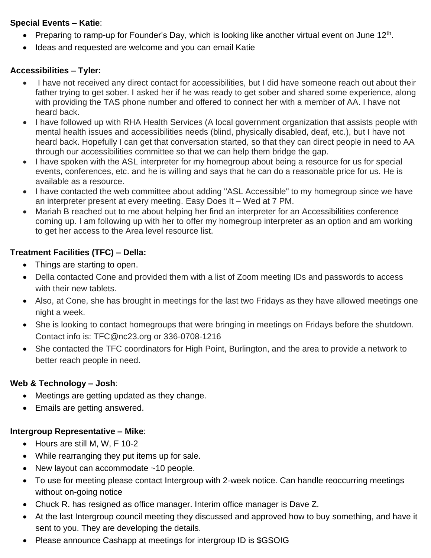#### **Special Events – Katie**:

- Preparing to ramp-up for Founder's Day, which is looking like another virtual event on June 12<sup>th</sup>.
- Ideas and requested are welcome and you can email Katie

# **Accessibilities – Tyler:**

- I have not received any direct contact for accessibilities, but I did have someone reach out about their father trying to get sober. I asked her if he was ready to get sober and shared some experience, along with providing the TAS phone number and offered to connect her with a member of AA. I have not heard back.
- I have followed up with RHA Health Services (A local government organization that assists people with mental health issues and accessibilities needs (blind, physically disabled, deaf, etc.), but I have not heard back. Hopefully I can get that conversation started, so that they can direct people in need to AA through our accessibilities committee so that we can help them bridge the gap.
- I have spoken with the ASL interpreter for my homegroup about being a resource for us for special events, conferences, etc. and he is willing and says that he can do a reasonable price for us. He is available as a resource.
- I have contacted the web committee about adding "ASL Accessible" to my homegroup since we have an interpreter present at every meeting. Easy Does It – Wed at 7 PM.
- Mariah B reached out to me about helping her find an interpreter for an Accessibilities conference coming up. I am following up with her to offer my homegroup interpreter as an option and am working to get her access to the Area level resource list.

# **Treatment Facilities (TFC) – Della:**

- Things are starting to open.
- Della contacted Cone and provided them with a list of Zoom meeting IDs and passwords to access with their new tablets.
- Also, at Cone, she has brought in meetings for the last two Fridays as they have allowed meetings one night a week.
- She is looking to contact homegroups that were bringing in meetings on Fridays before the shutdown. Contact info is: TFC@nc23.org or 336-0708-1216
- She contacted the TFC coordinators for High Point, Burlington, and the area to provide a network to better reach people in need.

# **Web & Technology – Josh**:

- Meetings are getting updated as they change.
- Emails are getting answered.

# **Intergroup Representative – Mike**:

- Hours are still M, W, F 10-2
- While rearranging they put items up for sale.
- New layout can accommodate ~10 people.
- To use for meeting please contact Intergroup with 2-week notice. Can handle reoccurring meetings without on-going notice
- Chuck R. has resigned as office manager. Interim office manager is Dave Z.
- At the last Intergroup council meeting they discussed and approved how to buy something, and have it sent to you. They are developing the details.
- Please announce Cashapp at meetings for intergroup ID is \$GSOIG